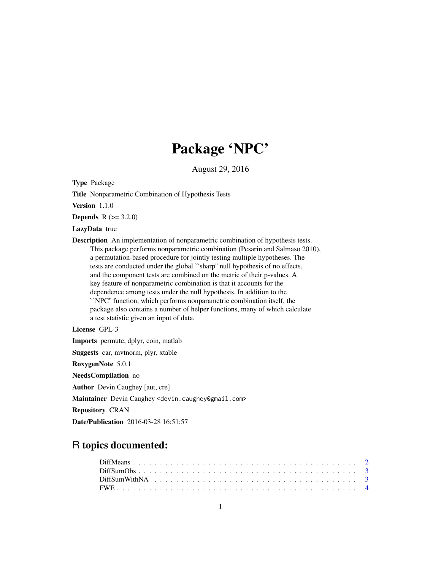# Package 'NPC'

August 29, 2016

Type Package

Title Nonparametric Combination of Hypothesis Tests

Version 1.1.0

**Depends**  $R (= 3.2.0)$ 

LazyData true

Description An implementation of nonparametric combination of hypothesis tests. This package performs nonparametric combination (Pesarin and Salmaso 2010), a permutation-based procedure for jointly testing multiple hypotheses. The tests are conducted under the global ``sharp'' null hypothesis of no effects, and the component tests are combined on the metric of their p-values. A key feature of nonparametric combination is that it accounts for the dependence among tests under the null hypothesis. In addition to the ``NPC'' function, which performs nonparametric combination itself, the package also contains a number of helper functions, many of which calculate a test statistic given an input of data.

# License GPL-3

Imports permute, dplyr, coin, matlab Suggests car, mvtnorm, plyr, xtable RoxygenNote 5.0.1 NeedsCompilation no Author Devin Caughey [aut, cre] Maintainer Devin Caughey <devin.caughey@gmail.com> Repository CRAN Date/Publication 2016-03-28 16:51:57

# R topics documented: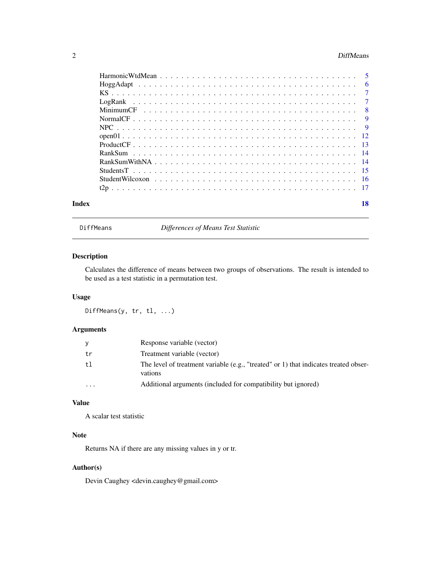#### <span id="page-1-0"></span>2 DiffMeans

|  |  |  | 18 |
|--|--|--|----|

DiffMeans *Differences of Means Test Statistic*

# Description

Calculates the difference of means between two groups of observations. The result is intended to be used as a test statistic in a permutation test.

# Usage

DiffMeans(y, tr, tl, ...)

# Arguments

| V         | Response variable (vector)                                                                      |
|-----------|-------------------------------------------------------------------------------------------------|
| tr        | Treatment variable (vector)                                                                     |
| t1        | The level of treatment variable (e.g., "treated" or 1) that indicates treated obser-<br>vations |
| $\ddotsc$ | Additional arguments (included for compatibility but ignored)                                   |

# Value

A scalar test statistic

# Note

Returns NA if there are any missing values in y or tr.

# Author(s)

Devin Caughey <devin.caughey@gmail.com>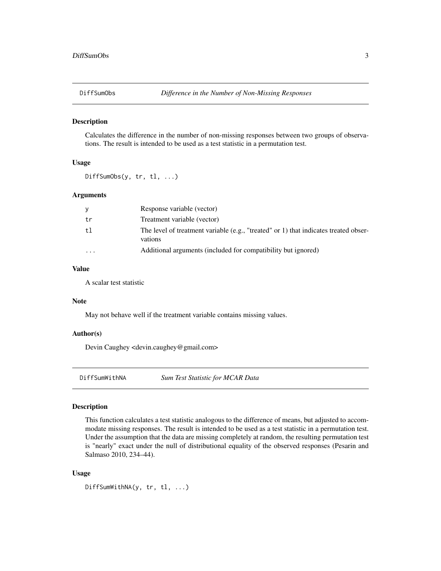<span id="page-2-0"></span>

Calculates the difference in the number of non-missing responses between two groups of observations. The result is intended to be used as a test statistic in a permutation test.

# Usage

DiffSumObs(y, tr, tl, ...)

#### Arguments

| y        | Response variable (vector)                                                                      |
|----------|-------------------------------------------------------------------------------------------------|
| tr       | Treatment variable (vector)                                                                     |
| t1       | The level of treatment variable (e.g., "treated" or 1) that indicates treated obser-<br>vations |
| $\cdots$ | Additional arguments (included for compatibility but ignored)                                   |

# Value

A scalar test statistic

# Note

May not behave well if the treatment variable contains missing values.

#### Author(s)

Devin Caughey <devin.caughey@gmail.com>

DiffSumWithNA *Sum Test Statistic for MCAR Data*

#### Description

This function calculates a test statistic analogous to the difference of means, but adjusted to accommodate missing responses. The result is intended to be used as a test statistic in a permutation test. Under the assumption that the data are missing completely at random, the resulting permutation test is "nearly" exact under the null of distributional equality of the observed responses (Pesarin and Salmaso 2010, 234–44).

#### Usage

DiffSumWithNA(y, tr, tl, ...)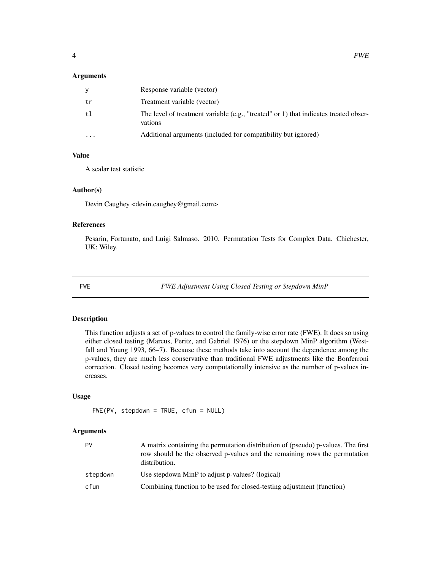#### <span id="page-3-0"></span>Arguments

| y                       | Response variable (vector)                                                                      |
|-------------------------|-------------------------------------------------------------------------------------------------|
| tr                      | Treatment variable (vector)                                                                     |
| t1                      | The level of treatment variable (e.g., "treated" or 1) that indicates treated obser-<br>vations |
| $\cdot$ $\cdot$ $\cdot$ | Additional arguments (included for compatibility but ignored)                                   |

# Value

A scalar test statistic

#### Author(s)

Devin Caughey <devin.caughey@gmail.com>

# References

Pesarin, Fortunato, and Luigi Salmaso. 2010. Permutation Tests for Complex Data. Chichester, UK: Wiley.

FWE *FWE Adjustment Using Closed Testing or Stepdown MinP*

#### Description

This function adjusts a set of p-values to control the family-wise error rate (FWE). It does so using either closed testing (Marcus, Peritz, and Gabriel 1976) or the stepdown MinP algorithm (Westfall and Young 1993, 66–7). Because these methods take into account the dependence among the p-values, they are much less conservative than traditional FWE adjustments like the Bonferroni correction. Closed testing becomes very computationally intensive as the number of p-values increases.

# Usage

```
FWE(PV, stepdown = TRUE, cfun = NULL)
```
#### Arguments

| PV       | A matrix containing the permutation distribution of (pseudo) p-values. The first<br>row should be the observed p-values and the remaining rows the permutation<br>distribution. |
|----------|---------------------------------------------------------------------------------------------------------------------------------------------------------------------------------|
| stepdown | Use stepdown MinP to adjust p-values? (logical)                                                                                                                                 |
| cfun     | Combining function to be used for closed-testing adjustment (function)                                                                                                          |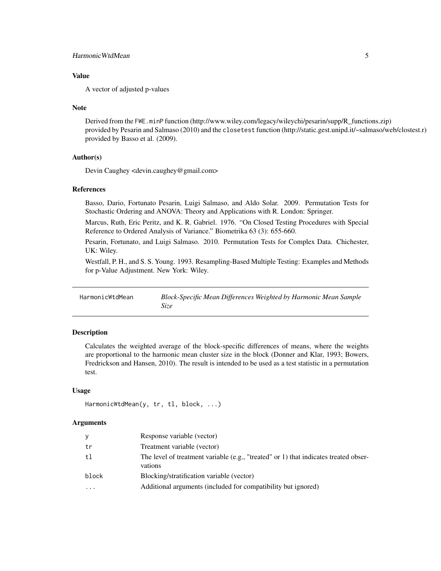# <span id="page-4-0"></span>HarmonicWtdMean 5

# Value

A vector of adjusted p-values

#### Note

Derived from the FWE.minP function (http://www.wiley.com/legacy/wileychi/pesarin/supp/R\_functions.zip) provided by Pesarin and Salmaso (2010) and the closetest function (http://static.gest.unipd.it/~salmaso/web/clostest.r) provided by Basso et al. (2009).

# Author(s)

Devin Caughey <devin.caughey@gmail.com>

# References

Basso, Dario, Fortunato Pesarin, Luigi Salmaso, and Aldo Solar. 2009. Permutation Tests for Stochastic Ordering and ANOVA: Theory and Applications with R. London: Springer.

Marcus, Ruth, Eric Peritz, and K. R. Gabriel. 1976. "On Closed Testing Procedures with Special Reference to Ordered Analysis of Variance." Biometrika 63 (3): 655-660.

Pesarin, Fortunato, and Luigi Salmaso. 2010. Permutation Tests for Complex Data. Chichester, UK: Wiley.

Westfall, P. H., and S. S. Young. 1993. Resampling-Based Multiple Testing: Examples and Methods for p-Value Adjustment. New York: Wiley.

HarmonicWtdMean *Block-Specific Mean Differences Weighted by Harmonic Mean Sample Size*

# **Description**

Calculates the weighted average of the block-specific differences of means, where the weights are proportional to the harmonic mean cluster size in the block (Donner and Klar, 1993; Bowers, Fredrickson and Hansen, 2010). The result is intended to be used as a test statistic in a permutation test.

#### Usage

```
HarmonicWtdMean(y, tr, tl, block, ...)
```
#### Arguments

| У         | Response variable (vector)                                                                      |
|-----------|-------------------------------------------------------------------------------------------------|
| tr        | Treatment variable (vector)                                                                     |
| t1        | The level of treatment variable (e.g., "treated" or 1) that indicates treated obser-<br>vations |
| block     | Blocking/stratification variable (vector)                                                       |
| $\ddotsc$ | Additional arguments (included for compatibility but ignored)                                   |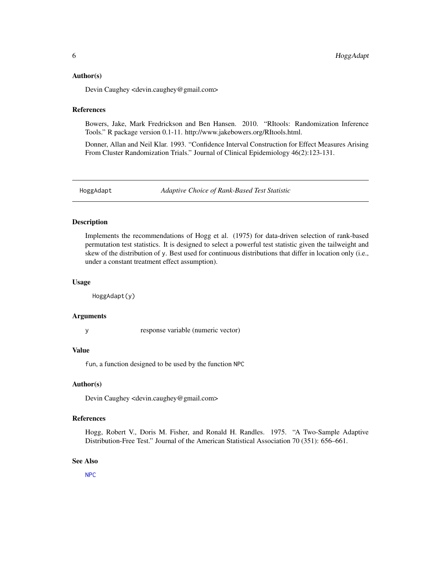#### <span id="page-5-0"></span>Author(s)

Devin Caughey <devin.caughey@gmail.com>

#### References

Bowers, Jake, Mark Fredrickson and Ben Hansen. 2010. "RItools: Randomization Inference Tools." R package version 0.1-11. http://www.jakebowers.org/RItools.html.

Donner, Allan and Neil Klar. 1993. "Confidence Interval Construction for Effect Measures Arising From Cluster Randomization Trials." Journal of Clinical Epidemiology 46(2):123-131.

HoggAdapt *Adaptive Choice of Rank-Based Test Statistic*

#### Description

Implements the recommendations of Hogg et al. (1975) for data-driven selection of rank-based permutation test statistics. It is designed to select a powerful test statistic given the tailweight and skew of the distribution of y. Best used for continuous distributions that differ in location only (i.e., under a constant treatment effect assumption).

# Usage

HoggAdapt(y)

#### Arguments

y response variable (numeric vector)

#### Value

fun, a function designed to be used by the function NPC

## Author(s)

Devin Caughey <devin.caughey@gmail.com>

#### References

Hogg, Robert V., Doris M. Fisher, and Ronald H. Randles. 1975. "A Two-Sample Adaptive Distribution-Free Test." Journal of the American Statistical Association 70 (351): 656–661.

# See Also

[NPC](#page-8-1)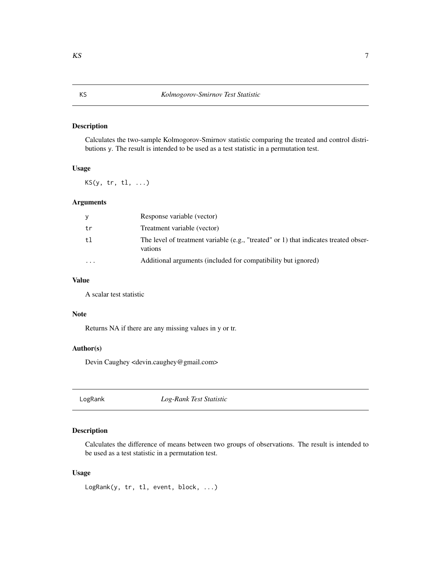<span id="page-6-0"></span>Calculates the two-sample Kolmogorov-Smirnov statistic comparing the treated and control distributions y. The result is intended to be used as a test statistic in a permutation test.

#### Usage

KS(y, tr, tl, ...)

# Arguments

| y        | Response variable (vector)                                                                      |
|----------|-------------------------------------------------------------------------------------------------|
| tr       | Treatment variable (vector)                                                                     |
| t1       | The level of treatment variable (e.g., "treated" or 1) that indicates treated obser-<br>vations |
| $\cdots$ | Additional arguments (included for compatibility but ignored)                                   |

# Value

A scalar test statistic

# Note

Returns NA if there are any missing values in y or tr.

# Author(s)

Devin Caughey <devin.caughey@gmail.com>

LogRank *Log-Rank Test Statistic*

# Description

Calculates the difference of means between two groups of observations. The result is intended to be used as a test statistic in a permutation test.

# Usage

LogRank(y, tr, tl, event, block, ...)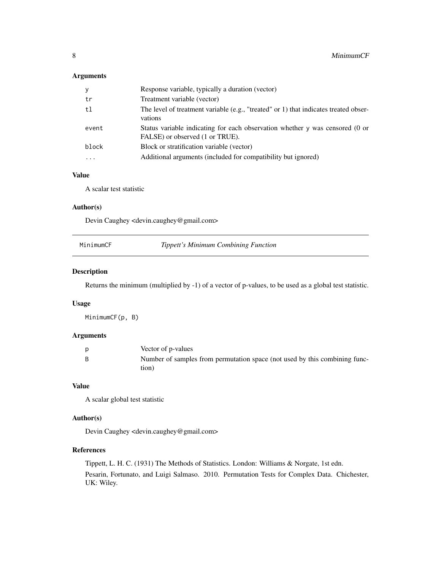# <span id="page-7-0"></span>Arguments

| У         | Response variable, typically a duration (vector)                                                                |
|-----------|-----------------------------------------------------------------------------------------------------------------|
| tr        | Treatment variable (vector)                                                                                     |
| t1        | The level of treatment variable (e.g., "treated" or 1) that indicates treated obser-<br>vations                 |
| event     | Status variable indicating for each observation whether y was censored (0 or<br>FALSE) or observed (1 or TRUE). |
| block     | Block or stratification variable (vector)                                                                       |
| $\ddotsc$ | Additional arguments (included for compatibility but ignored)                                                   |

# Value

A scalar test statistic

# Author(s)

Devin Caughey <devin.caughey@gmail.com>

MinimumCF *Tippett's Minimum Combining Function*

#### Description

Returns the minimum (multiplied by -1) of a vector of p-values, to be used as a global test statistic.

#### Usage

MinimumCF(p, B)

# Arguments

|   | Vector of p-values                                                         |
|---|----------------------------------------------------------------------------|
| B | Number of samples from permutation space (not used by this combining func- |
|   | tion)                                                                      |

# Value

A scalar global test statistic

#### Author(s)

Devin Caughey <devin.caughey@gmail.com>

# References

Tippett, L. H. C. (1931) The Methods of Statistics. London: Williams & Norgate, 1st edn. Pesarin, Fortunato, and Luigi Salmaso. 2010. Permutation Tests for Complex Data. Chichester, UK: Wiley.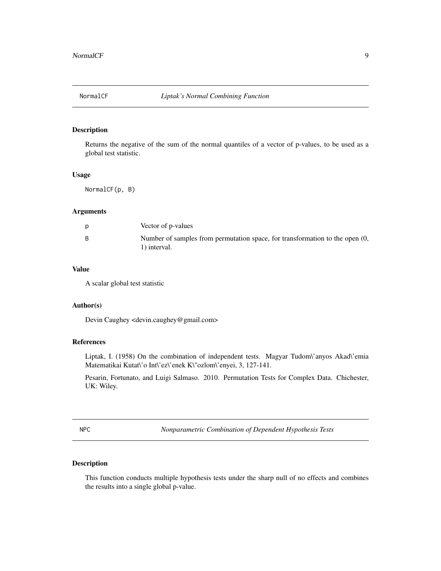<span id="page-8-0"></span>

Returns the negative of the sum of the normal quantiles of a vector of p-values, to be used as a global test statistic.

# Usage

NormalCF(p, B)

# Arguments

| Vector of p-values                                                                           |
|----------------------------------------------------------------------------------------------|
| Number of samples from permutation space, for transformation to the open (0,<br>1) interval. |

# Value

A scalar global test statistic

# Author(s)

Devin Caughey <devin.caughey@gmail.com>

# References

Liptak, I. (1958) On the combination of independent tests. Magyar Tudom\'anyos Akad\'emia Matematikai Kutat\'o Int\'ez\'enek K\"ozlom\'enyei, 3, 127-141.

Pesarin, Fortunato, and Luigi Salmaso. 2010. Permutation Tests for Complex Data. Chichester, UK: Wiley.

<span id="page-8-1"></span>NPC *Nonparametric Combination of Dependent Hypothesis Tests*

# Description

This function conducts multiple hypothesis tests under the sharp null of no effects and combines the results into a single global p-value.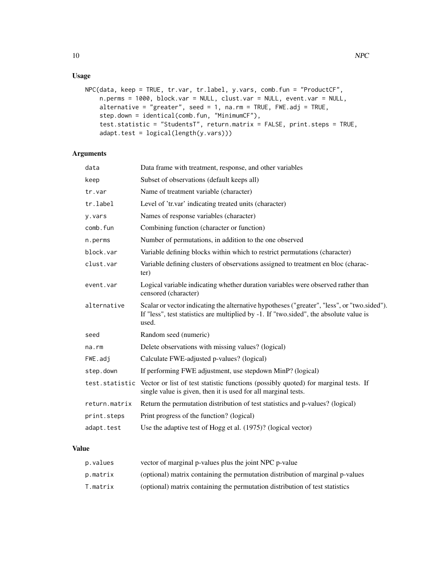# Usage

```
NPC(data, keep = TRUE, tr.var, tr.label, y.vars, comb.fun = "ProductCF",
   n.perms = 1000, block.var = NULL, clust.var = NULL, event.var = NULL,
    alternative = "greater", seed = 1, na.rm = TRUE, FWE.add = TRUE,
   step.down = identical(comb.fun, "MinimumCF"),
   test.statistic = "StudentsT", return.matrix = FALSE, print.steps = TRUE,
    adapt.test = logical(length(y.vars)))
```
# Arguments

| data          | Data frame with treatment, response, and other variables                                                                                                                                       |
|---------------|------------------------------------------------------------------------------------------------------------------------------------------------------------------------------------------------|
| keep          | Subset of observations (default keeps all)                                                                                                                                                     |
| tr.var        | Name of treatment variable (character)                                                                                                                                                         |
| tr.label      | Level of 'tr.var' indicating treated units (character)                                                                                                                                         |
| y.vars        | Names of response variables (character)                                                                                                                                                        |
| comb.fun      | Combining function (character or function)                                                                                                                                                     |
| n.perms       | Number of permutations, in addition to the one observed                                                                                                                                        |
| block.var     | Variable defining blocks within which to restrict permutations (character)                                                                                                                     |
| clust.var     | Variable defining clusters of observations assigned to treatment en bloc (charac-<br>ter)                                                                                                      |
| event.var     | Logical variable indicating whether duration variables were observed rather than<br>censored (character)                                                                                       |
| alternative   | Scalar or vector indicating the alternative hypotheses ("greater", "less", or "two.sided").<br>If "less", test statistics are multiplied by -1. If "two.sided", the absolute value is<br>used. |
| seed          | Random seed (numeric)                                                                                                                                                                          |
| $na$ . $rm$   | Delete observations with missing values? (logical)                                                                                                                                             |
| FWE.adj       | Calculate FWE-adjusted p-values? (logical)                                                                                                                                                     |
| step.down     | If performing FWE adjustment, use stepdown MinP? (logical)                                                                                                                                     |
|               | test.statistic Vector or list of test statistic functions (possibly quoted) for marginal tests. If<br>single value is given, then it is used for all marginal tests.                           |
| return.matrix | Return the permutation distribution of test statistics and p-values? (logical)                                                                                                                 |
| print.steps   | Print progress of the function? (logical)                                                                                                                                                      |
| adapt.test    | Use the adaptive test of Hogg et al. (1975)? (logical vector)                                                                                                                                  |
|               |                                                                                                                                                                                                |

# Value

| p.values | vector of marginal p-values plus the joint NPC p-value                         |
|----------|--------------------------------------------------------------------------------|
| p.matrix | (optional) matrix containing the permutation distribution of marginal p-values |
| T.matrix | (optional) matrix containing the permutation distribution of test statistics   |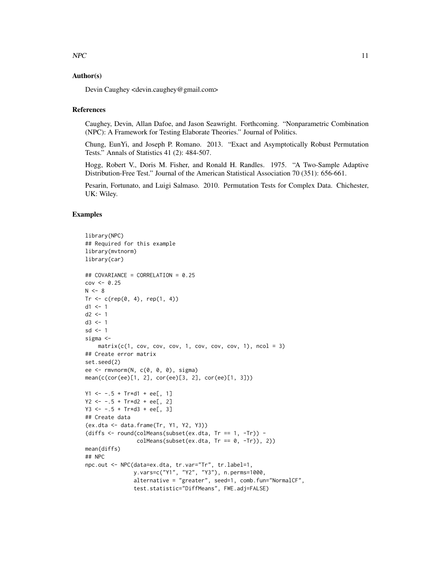# Author(s)

Devin Caughey <devin.caughey@gmail.com>

## References

Caughey, Devin, Allan Dafoe, and Jason Seawright. Forthcoming. "Nonparametric Combination (NPC): A Framework for Testing Elaborate Theories." Journal of Politics.

Chung, EunYi, and Joseph P. Romano. 2013. "Exact and Asymptotically Robust Permutation Tests." Annals of Statistics 41 (2): 484-507.

Hogg, Robert V., Doris M. Fisher, and Ronald H. Randles. 1975. "A Two-Sample Adaptive Distribution-Free Test." Journal of the American Statistical Association 70 (351): 656-661.

Pesarin, Fortunato, and Luigi Salmaso. 2010. Permutation Tests for Complex Data. Chichester, UK: Wiley.

#### Examples

```
library(NPC)
## Required for this example
library(mvtnorm)
library(car)
## COVARIANCE = CORRELATION = 0.25
cov < -0.25N < - 8Tr \leftarrow c(rep(\emptyset, 4), rep(1, 4))d1 < -1d2 < -1d3 < -1sd < -1sigma <-
    matrix(c(1, cov, cov, cov, 1, cov, cov, cov, cov, 1), ncol = 3)## Create error matrix
set.seed(2)
ee <- rmvnorm(N, c(0, 0, 0), sigma)
mean(c(cor(ee)[1, 2], cor(ee)[3, 2], cor(ee)[1, 3]))
Y1 \le -0.5 + Tr \star d1 + ee[, 1]Y2 \le -0.5 + Tr* d2 + ee[, 2]Y3 <- -.5 + Tr*d3 + ee[, 3]
## Create data
(ex.dta <- data.frame(Tr, Y1, Y2, Y3))
(diffs <- round(colMeans(subset(ex.dta, Tr == 1, -Tr)) -
                 collMeans(subset(ex.dta, Tr == 0, -Tr)), 2))mean(diffs)
## NPC
npc.out <- NPC(data=ex.dta, tr.var="Tr", tr.label=1,
               y.vars=c("Y1", "Y2", "Y3"), n.perms=1000,
               alternative = "greater", seed=1, comb.fun="NormalCF",
               test.statistic="DiffMeans", FWE.adj=FALSE)
```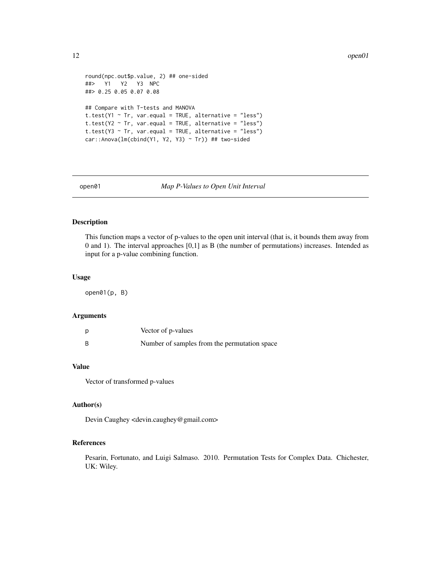#### <span id="page-11-0"></span>12 open01

```
round(npc.out$p.value, 2) ## one-sided
##> Y1 Y2 Y3 NPC
##> 0.25 0.05 0.07 0.08
## Compare with T-tests and MANOVA
t.test(Y1 \sim Tr, var.equal = TRUE, alternative = "less")
t.test(Y2 \sim Tr, var.equal = TRUE, alternative = "less")
t.test(Y3 \sim Tr, var.equal = TRUE, alternative = "less")
car::Anova(lm(cbind(Y1, Y2, Y3) ~ Tr)) ## two-sided
```
open01 *Map P-Values to Open Unit Interval*

# Description

This function maps a vector of p-values to the open unit interval (that is, it bounds them away from 0 and 1). The interval approaches [0,1] as B (the number of permutations) increases. Intended as input for a p-value combining function.

## Usage

open01(p, B)

#### Arguments

| D | Vector of p-values                           |
|---|----------------------------------------------|
| B | Number of samples from the permutation space |

# Value

Vector of transformed p-values

#### Author(s)

Devin Caughey <devin.caughey@gmail.com>

#### References

Pesarin, Fortunato, and Luigi Salmaso. 2010. Permutation Tests for Complex Data. Chichester, UK: Wiley.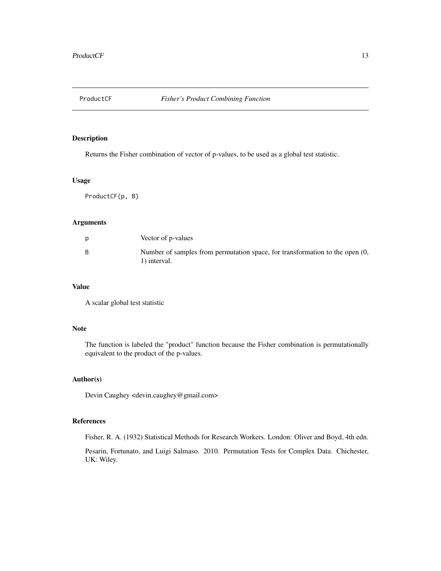<span id="page-12-0"></span>

Returns the Fisher combination of vector of p-values, to be used as a global test statistic.

#### Usage

ProductCF(p, B)

# Arguments

|   | Vector of p-values                                                                           |
|---|----------------------------------------------------------------------------------------------|
| B | Number of samples from permutation space, for transformation to the open (0,<br>1) interval. |

#### Value

A scalar global test statistic

# Note

The function is labeled the "product" function because the Fisher combination is permutationally equivalent to the product of the p-values.

# Author(s)

Devin Caughey <devin.caughey@gmail.com>

# References

Fisher, R. A. (1932) Statistical Methods for Research Workers. London: Oliver and Boyd, 4th edn.

Pesarin, Fortunato, and Luigi Salmaso. 2010. Permutation Tests for Complex Data. Chichester, UK: Wiley.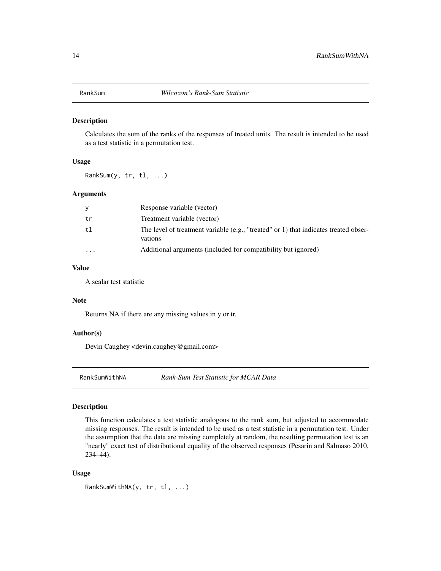<span id="page-13-0"></span>

Calculates the sum of the ranks of the responses of treated units. The result is intended to be used as a test statistic in a permutation test.

#### Usage

RankSum(y, tr, tl, ...)

# Arguments

| y        | Response variable (vector)                                                                      |
|----------|-------------------------------------------------------------------------------------------------|
| tr       | Treatment variable (vector)                                                                     |
| t1       | The level of treatment variable (e.g., "treated" or 1) that indicates treated obser-<br>vations |
| $\cdots$ | Additional arguments (included for compatibility but ignored)                                   |

#### Value

A scalar test statistic

#### Note

Returns NA if there are any missing values in y or tr.

#### Author(s)

Devin Caughey <devin.caughey@gmail.com>

RankSumWithNA *Rank-Sum Test Statistic for MCAR Data*

#### Description

This function calculates a test statistic analogous to the rank sum, but adjusted to accommodate missing responses. The result is intended to be used as a test statistic in a permutation test. Under the assumption that the data are missing completely at random, the resulting permutation test is an "nearly" exact test of distributional equality of the observed responses (Pesarin and Salmaso 2010, 234–44).

#### Usage

RankSumWithNA(y, tr, tl, ...)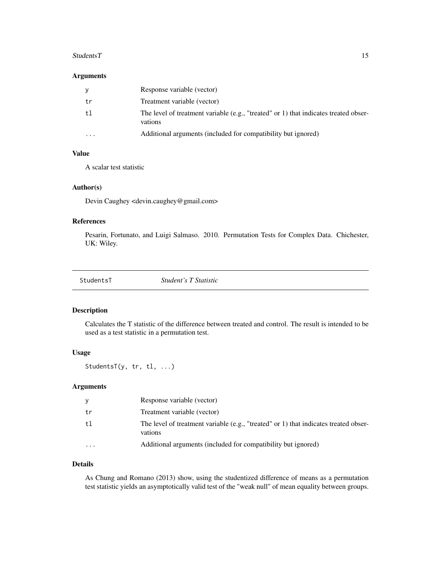#### <span id="page-14-0"></span>Students T and the students of the students of the students of the students of the students of the students of the students of the students of the students of the students of the students of the students of the students of

# Arguments

| У       | Response variable (vector)                                                                      |
|---------|-------------------------------------------------------------------------------------------------|
| tr      | Treatment variable (vector)                                                                     |
| t1      | The level of treatment variable (e.g., "treated" or 1) that indicates treated obser-<br>vations |
| $\cdot$ | Additional arguments (included for compatibility but ignored)                                   |

# Value

A scalar test statistic

# Author(s)

Devin Caughey <devin.caughey@gmail.com>

# References

Pesarin, Fortunato, and Luigi Salmaso. 2010. Permutation Tests for Complex Data. Chichester, UK: Wiley.

| <i>Student's T Statistic</i> |
|------------------------------|
|                              |

#### Description

Calculates the T statistic of the difference between treated and control. The result is intended to be used as a test statistic in a permutation test.

# Usage

StudentsT(y, tr, tl, ...)

# Arguments

| y       | Response variable (vector)                                                                      |
|---------|-------------------------------------------------------------------------------------------------|
| tr      | Treatment variable (vector)                                                                     |
| t1      | The level of treatment variable (e.g., "treated" or 1) that indicates treated obser-<br>vations |
| $\cdot$ | Additional arguments (included for compatibility but ignored)                                   |

# Details

As Chung and Romano (2013) show, using the studentized difference of means as a permutation test statistic yields an asymptotically valid test of the "weak null" of mean equality between groups.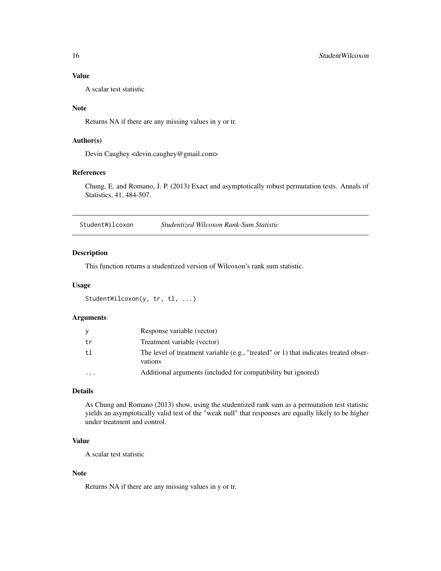# <span id="page-15-0"></span>Value

A scalar test statistic

#### Note

Returns NA if there are any missing values in y or tr.

# Author(s)

Devin Caughey <devin.caughey@gmail.com>

#### References

Chung, E. and Romano, J. P. (2013) Exact and asymptotically robust permutation tests. Annals of Statistics, 41, 484-507.

StudentWilcoxon *Studentized Wilcoxon Rank-Sum Statistic*

#### Description

This function returns a studentized version of Wilcoxon's rank sum statistic.

## Usage

```
StudentWilcoxon(y, tr, tl, ...)
```
# Arguments

| V         | Response variable (vector)                                                                      |
|-----------|-------------------------------------------------------------------------------------------------|
| tr        | Treatment variable (vector)                                                                     |
| t1        | The level of treatment variable (e.g., "treated" or 1) that indicates treated obser-<br>vations |
| $\ddotsc$ | Additional arguments (included for compatibility but ignored)                                   |

#### Details

As Chung and Romano (2013) show, using the studentized rank sum as a permutation test statistic yields an asymptotically valid test of the "weak null" that responses are equally likely to be higher under treatment and control.

# Value

A scalar test statistic

### Note

Returns NA if there are any missing values in y or tr.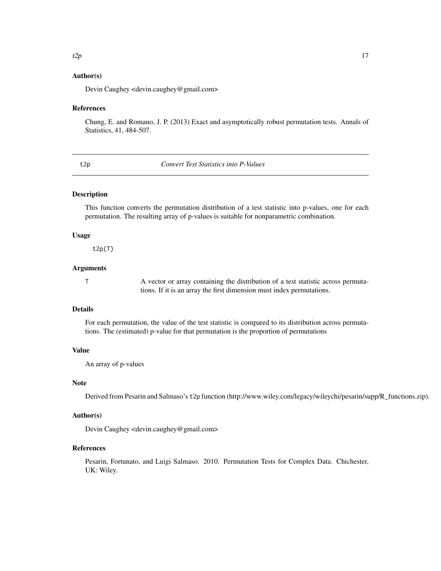# <span id="page-16-0"></span>Author(s)

Devin Caughey <devin.caughey@gmail.com>

#### References

Chung, E. and Romano, J. P. (2013) Exact and asymptotically robust permutation tests. Annals of Statistics, 41, 484-507.

t2p *Convert Test Statistics into P-Values*

# Description

This function converts the permutation distribution of a test statistic into p-values, one for each permutation. The resulting array of p-values is suitable for nonparametric combination.

#### Usage

t2p(T)

## Arguments

T A vector or array containing the distribution of a test statistic across permutations. If it is an array the first dimension must index permutations.

# Details

For each permutation, the value of the test statistic is compared to its distribution across permutations. The (estimated) p-value for that permutation is the proportion of permutations

# Value

An array of p-values

### Note

Derived from Pesarin and Salmaso's t2p function (http://www.wiley.com/legacy/wileychi/pesarin/supp/R\_functions.zip).

# Author(s)

Devin Caughey <devin.caughey@gmail.com>

# References

Pesarin, Fortunato, and Luigi Salmaso. 2010. Permutation Tests for Complex Data. Chichester, UK: Wiley.